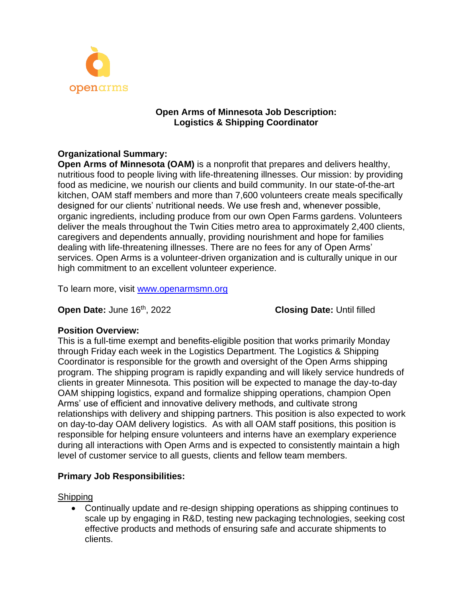

### **Open Arms of Minnesota Job Description: Logistics & Shipping Coordinator**

## **Organizational Summary:**

**Open Arms of Minnesota (OAM)** is a nonprofit that prepares and delivers healthy, nutritious food to people living with life-threatening illnesses. Our mission: by providing food as medicine, we nourish our clients and build community. In our state-of-the-art kitchen, OAM staff members and more than 7,600 volunteers create meals specifically designed for our clients' nutritional needs. We use fresh and, whenever possible, organic ingredients, including produce from our own Open Farms gardens. Volunteers deliver the meals throughout the Twin Cities metro area to approximately 2,400 clients, caregivers and dependents annually, providing nourishment and hope for families dealing with life-threatening illnesses. There are no fees for any of Open Arms' services. Open Arms is a volunteer-driven organization and is culturally unique in our high commitment to an excellent volunteer experience.

To learn more, visit [www.openarmsmn.org](http://www.openarmsmn.org/)

**Open Date:** June 16<sup>th</sup>, 2022 **Closing Date: Until filled** 

### **Position Overview:**

This is a full-time exempt and benefits-eligible position that works primarily Monday through Friday each week in the Logistics Department. The Logistics & Shipping Coordinator is responsible for the growth and oversight of the Open Arms shipping program. The shipping program is rapidly expanding and will likely service hundreds of clients in greater Minnesota. This position will be expected to manage the day-to-day OAM shipping logistics, expand and formalize shipping operations, champion Open Arms' use of efficient and innovative delivery methods, and cultivate strong relationships with delivery and shipping partners. This position is also expected to work on day-to-day OAM delivery logistics. As with all OAM staff positions, this position is responsible for helping ensure volunteers and interns have an exemplary experience during all interactions with Open Arms and is expected to consistently maintain a high level of customer service to all guests, clients and fellow team members.

## **Primary Job Responsibilities:**

**Shipping** 

• Continually update and re-design shipping operations as shipping continues to scale up by engaging in R&D, testing new packaging technologies, seeking cost effective products and methods of ensuring safe and accurate shipments to clients.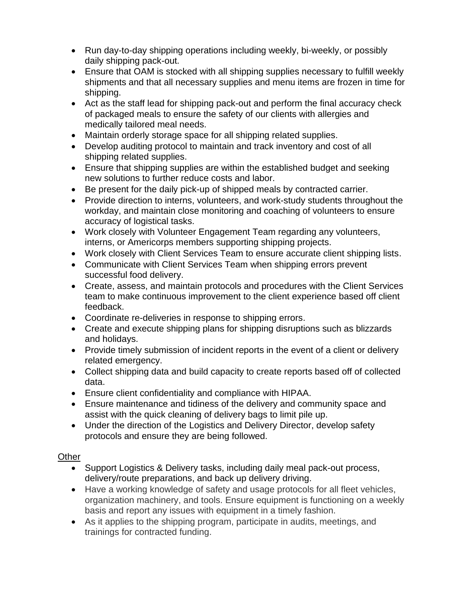- Run day-to-day shipping operations including weekly, bi-weekly, or possibly daily shipping pack-out.
- Ensure that OAM is stocked with all shipping supplies necessary to fulfill weekly shipments and that all necessary supplies and menu items are frozen in time for shipping.
- Act as the staff lead for shipping pack-out and perform the final accuracy check of packaged meals to ensure the safety of our clients with allergies and medically tailored meal needs.
- Maintain orderly storage space for all shipping related supplies.
- Develop auditing protocol to maintain and track inventory and cost of all shipping related supplies.
- Ensure that shipping supplies are within the established budget and seeking new solutions to further reduce costs and labor.
- Be present for the daily pick-up of shipped meals by contracted carrier.
- Provide direction to interns, volunteers, and work-study students throughout the workday, and maintain close monitoring and coaching of volunteers to ensure accuracy of logistical tasks.
- Work closely with Volunteer Engagement Team regarding any volunteers, interns, or Americorps members supporting shipping projects.
- Work closely with Client Services Team to ensure accurate client shipping lists.
- Communicate with Client Services Team when shipping errors prevent successful food delivery.
- Create, assess, and maintain protocols and procedures with the Client Services team to make continuous improvement to the client experience based off client feedback.
- Coordinate re-deliveries in response to shipping errors.
- Create and execute shipping plans for shipping disruptions such as blizzards and holidays.
- Provide timely submission of incident reports in the event of a client or delivery related emergency.
- Collect shipping data and build capacity to create reports based off of collected data.
- Ensure client confidentiality and compliance with HIPAA.
- Ensure maintenance and tidiness of the delivery and community space and assist with the quick cleaning of delivery bags to limit pile up.
- Under the direction of the Logistics and Delivery Director, develop safety protocols and ensure they are being followed.

## Other

- Support Logistics & Delivery tasks, including daily meal pack-out process, delivery/route preparations, and back up delivery driving.
- Have a working knowledge of safety and usage protocols for all fleet vehicles, organization machinery, and tools. Ensure equipment is functioning on a weekly basis and report any issues with equipment in a timely fashion.
- As it applies to the shipping program, participate in audits, meetings, and trainings for contracted funding.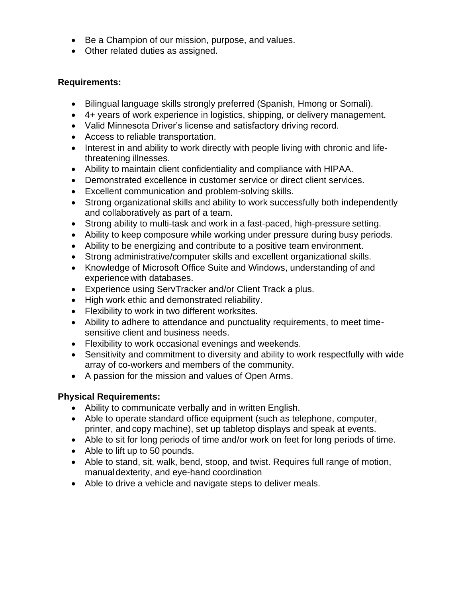- Be a Champion of our mission, purpose, and values.
- Other related duties as assigned.

# **Requirements:**

- Bilingual language skills strongly preferred (Spanish, Hmong or Somali).
- 4+ years of work experience in logistics, shipping, or delivery management.
- Valid Minnesota Driver's license and satisfactory driving record.
- Access to reliable transportation.
- Interest in and ability to work directly with people living with chronic and lifethreatening illnesses.
- Ability to maintain client confidentiality and compliance with HIPAA.
- Demonstrated excellence in customer service or direct client services.
- Excellent communication and problem-solving skills.
- Strong organizational skills and ability to work successfully both independently and collaboratively as part of a team.
- Strong ability to multi-task and work in a fast-paced, high-pressure setting.
- Ability to keep composure while working under pressure during busy periods.
- Ability to be energizing and contribute to a positive team environment.
- Strong administrative/computer skills and excellent organizational skills.
- Knowledge of Microsoft Office Suite and Windows, understanding of and experience with databases.
- Experience using ServTracker and/or Client Track a plus.
- High work ethic and demonstrated reliability.
- Flexibility to work in two different worksites.
- Ability to adhere to attendance and punctuality requirements, to meet timesensitive client and business needs.
- Flexibility to work occasional evenings and weekends.
- Sensitivity and commitment to diversity and ability to work respectfully with wide array of co-workers and members of the community.
- A passion for the mission and values of Open Arms.

# **Physical Requirements:**

- Ability to communicate verbally and in written English.
- Able to operate standard office equipment (such as telephone, computer, printer, and copy machine), set up tabletop displays and speak at events.
- Able to sit for long periods of time and/or work on feet for long periods of time.
- Able to lift up to 50 pounds.
- Able to stand, sit, walk, bend, stoop, and twist. Requires full range of motion, manualdexterity, and eye-hand coordination
- Able to drive a vehicle and navigate steps to deliver meals.